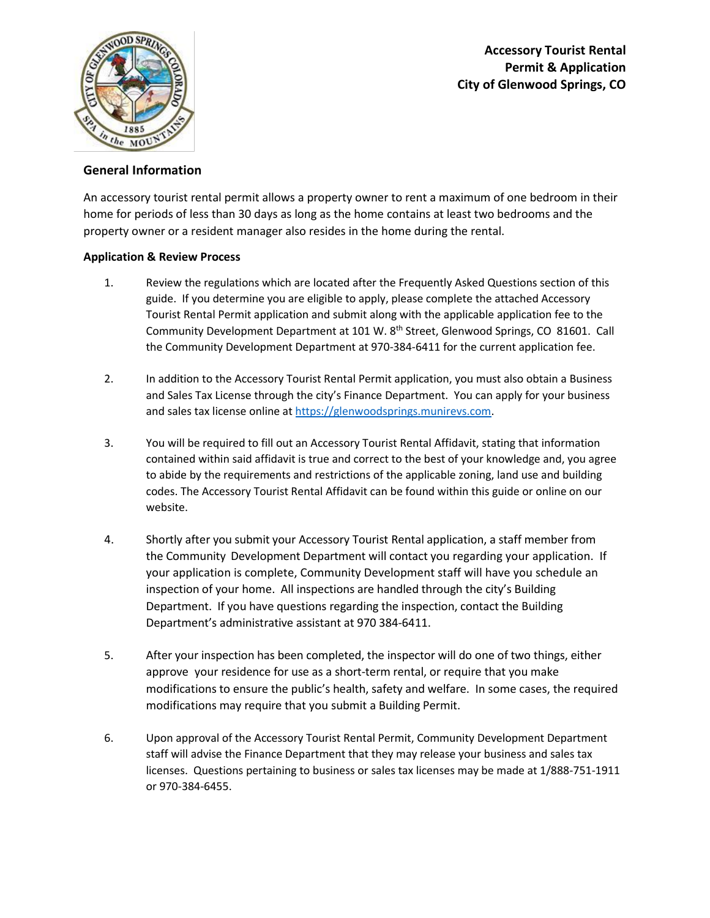



## **General Information**

An accessory tourist rental permit allows a property owner to rent a maximum of one bedroom in their home for periods of less than 30 days as long as the home contains at least two bedrooms and the property owner or a resident manager also resides in the home during the rental.

## **Application & Review Process**

- 1. Review the regulations which are located after the Frequently Asked Questions section of this guide. If you determine you are eligible to apply, please complete the attached Accessory Tourist Rental Permit application and submit along with the applicable application fee to the Community Development Department at 101 W. 8<sup>th</sup> Street, Glenwood Springs, CO 81601. Call the Community Development Department at 970-384-6411 for the current application fee.
- 2. In addition to the Accessory Tourist Rental Permit application, you must also obtain a Business and Sales Tax License through the city's Finance Department. You can apply for your business and sales tax license online at [https://glenwoodsprings.munirevs.com.](https://glenwoodsprings.munirevs.com/)
- 3. You will be required to fill out an Accessory Tourist Rental Affidavit, stating that information contained within said affidavit is true and correct to the best of your knowledge and, you agree to abide by the requirements and restrictions of the applicable zoning, land use and building codes. The Accessory Tourist Rental Affidavit can be found within this guide or online on our website.
- 4. Shortly after you submit your Accessory Tourist Rental application, a staff member from the Community Development Department will contact you regarding your application. If your application is complete, Community Development staff will have you schedule an inspection of your home. All inspections are handled through the city's Building Department. If you have questions regarding the inspection, contact the Building Department's administrative assistant at 970 384-6411.
- 5. After your inspection has been completed, the inspector will do one of two things, either approve your residence for use as a short-term rental, or require that you make modifications to ensure the public's health, safety and welfare. In some cases, the required modifications may require that you submit a Building Permit.
- 6. Upon approval of the Accessory Tourist Rental Permit, Community Development Department staff will advise the Finance Department that they may release your business and sales tax licenses. Questions pertaining to business or sales tax licenses may be made at 1/888-751-1911 or 970-384-6455.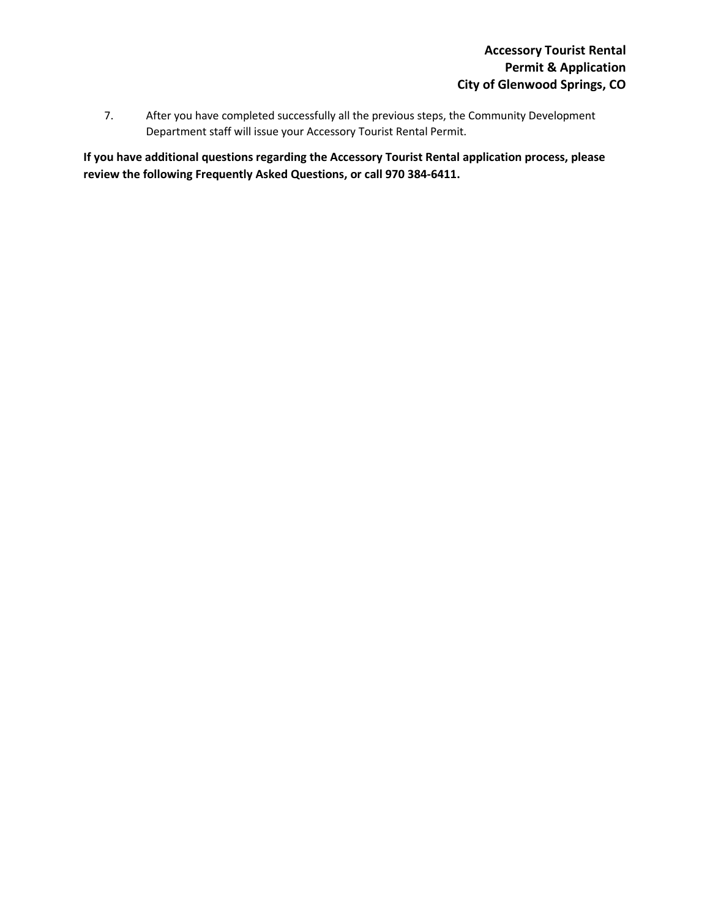7. After you have completed successfully all the previous steps, the Community Development Department staff will issue your Accessory Tourist Rental Permit.

**If you have additional questions regarding the Accessory Tourist Rental application process, please review the following Frequently Asked Questions, or call 970 384-6411.**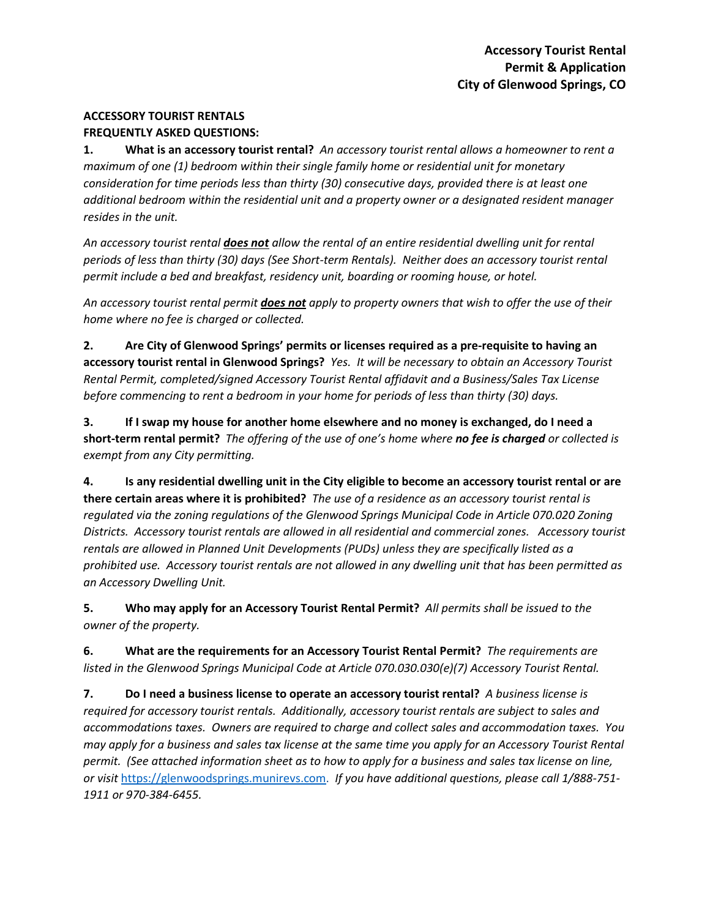# **ACCESSORY TOURIST RENTALS**

# **FREQUENTLY ASKED QUESTIONS:**

**1. What is an accessory tourist rental?** *An accessory tourist rental allows a homeowner to rent a maximum of one (1) bedroom within their single family home or residential unit for monetary consideration for time periods less than thirty (30) consecutive days, provided there is at least one additional bedroom within the residential unit and a property owner or a designated resident manager resides in the unit.* 

*An accessory tourist rental does not allow the rental of an entire residential dwelling unit for rental periods of less than thirty (30) days (See Short-term Rentals). Neither does an accessory tourist rental permit include a bed and breakfast, residency unit, boarding or rooming house, or hotel.* 

*An accessory tourist rental permit does not apply to property owners that wish to offer the use of their home where no fee is charged or collected.* 

**2. Are City of Glenwood Springs' permits or licenses required as a pre-requisite to having an accessory tourist rental in Glenwood Springs?** *Yes. It will be necessary to obtain an Accessory Tourist Rental Permit, completed/signed Accessory Tourist Rental affidavit and a Business/Sales Tax License before commencing to rent a bedroom in your home for periods of less than thirty (30) days.*

**3. If I swap my house for another home elsewhere and no money is exchanged, do I need a short-term rental permit?** *The offering of the use of one's home where no fee is charged or collected is exempt from any City permitting.*

**4. Is any residential dwelling unit in the City eligible to become an accessory tourist rental or are there certain areas where it is prohibited?** *The use of a residence as an accessory tourist rental is regulated via the zoning regulations of the Glenwood Springs Municipal Code in Article 070.020 Zoning Districts. Accessory tourist rentals are allowed in all residential and commercial zones. Accessory tourist rentals are allowed in Planned Unit Developments (PUDs) unless they are specifically listed as a prohibited use. Accessory tourist rentals are not allowed in any dwelling unit that has been permitted as an Accessory Dwelling Unit.*

**5. Who may apply for an Accessory Tourist Rental Permit?** *All permits shall be issued to the owner of the property.*

**6. What are the requirements for an Accessory Tourist Rental Permit?** *The requirements are listed in the Glenwood Springs Municipal Code at Article 070.030.030(e)(7) Accessory Tourist Rental.* 

**7. Do I need a business license to operate an accessory tourist rental?** *A business license is required for accessory tourist rentals. Additionally, accessory tourist rentals are subject to sales and accommodations taxes. Owners are required to charge and collect sales and accommodation taxes. You may apply for a business and sales tax license at the same time you apply for an Accessory Tourist Rental permit. (See attached information sheet as to how to apply for a business and sales tax license on line, or visit* [https://glenwoodsprings.munirevs.com.](https://glenwoodsprings.munirevs.com/) *If you have additional questions, please call 1/888-751- 1911 or 970-384-6455.*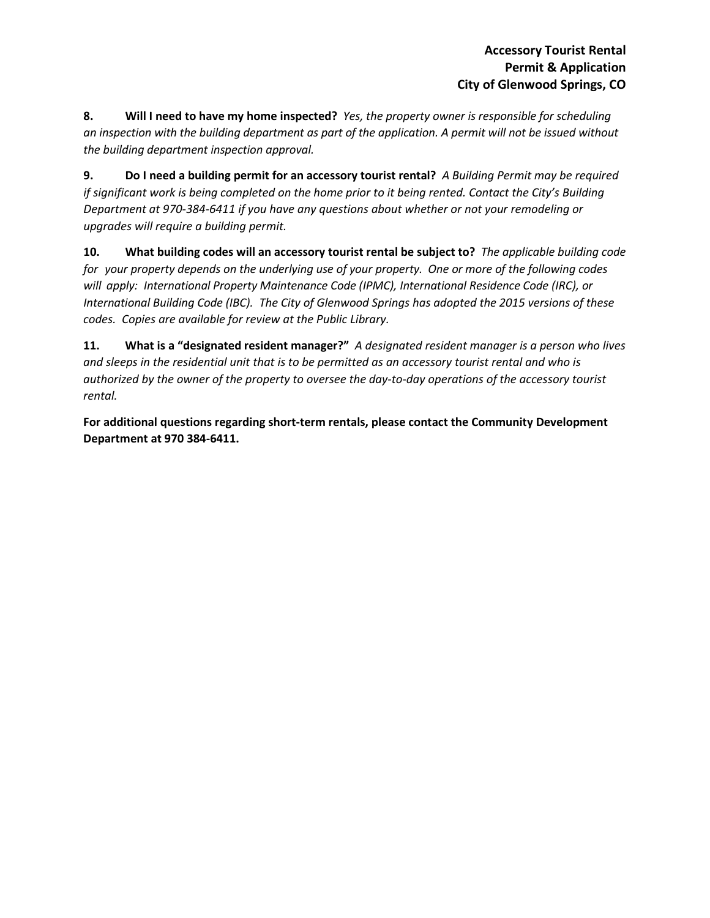**8. Will I need to have my home inspected?** *Yes, the property owner is responsible for scheduling an inspection with the building department as part of the application. A permit will not be issued without the building department inspection approval.*

**9. Do I need a building permit for an accessory tourist rental?** *A Building Permit may be required if significant work is being completed on the home prior to it being rented. Contact the City's Building Department at 970-384-6411 if you have any questions about whether or not your remodeling or upgrades will require a building permit.*

**10. What building codes will an accessory tourist rental be subject to?** *The applicable building code for your property depends on the underlying use of your property. One or more of the following codes will apply: International Property Maintenance Code (IPMC), International Residence Code (IRC), or International Building Code (IBC). The City of Glenwood Springs has adopted the 2015 versions of these codes. Copies are available for review at the Public Library.* 

**11. What is a "designated resident manager?"** *A designated resident manager is a person who lives and sleeps in the residential unit that is to be permitted as an accessory tourist rental and who is authorized by the owner of the property to oversee the day-to-day operations of the accessory tourist rental.*

**For additional questions regarding short-term rentals, please contact the Community Development Department at 970 384-6411.**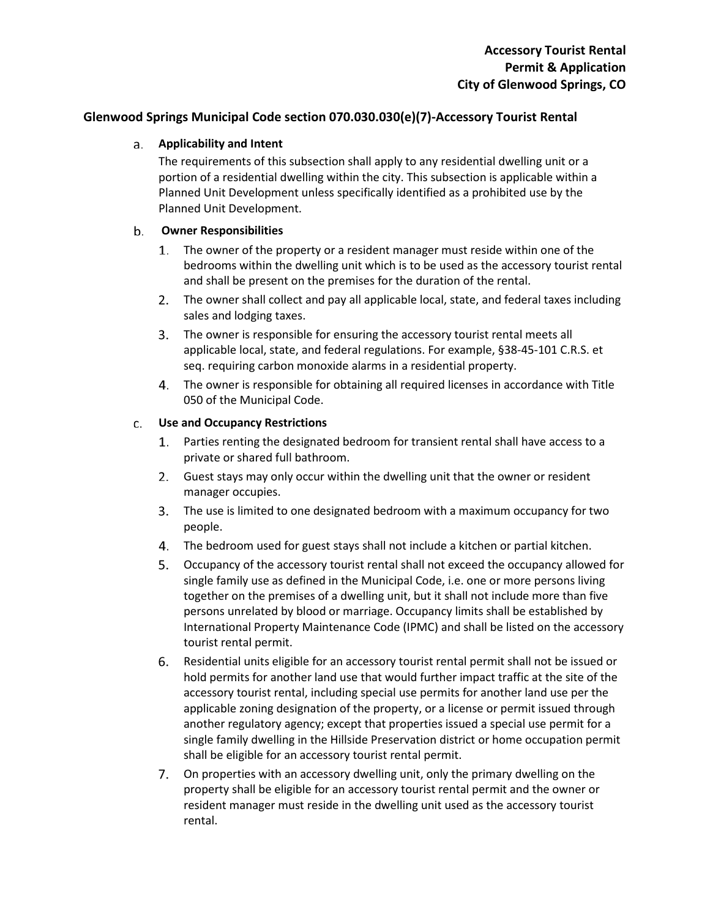## **Glenwood Springs Municipal Code section 070.030.030(e)(7)-Accessory Tourist Rental**

### **Applicability and Intent**

The requirements of this subsection shall apply to any residential dwelling unit or a portion of a residential dwelling within the city. This subsection is applicable within a Planned Unit Development unless specifically identified as a prohibited use by the Planned Unit Development.

#### b. **Owner Responsibilities**

- 1. The owner of the property or a resident manager must reside within one of the bedrooms within the dwelling unit which is to be used as the accessory tourist rental and shall be present on the premises for the duration of the rental.
- The owner shall collect and pay all applicable local, state, and federal taxes including sales and lodging taxes.
- The owner is responsible for ensuring the accessory tourist rental meets all applicable local, state, and federal regulations. For example, §38-45-101 C.R.S. et seq. requiring carbon monoxide alarms in a residential property.
- The owner is responsible for obtaining all required licenses in accordance with Title 050 of the Municipal Code.

#### **Use and Occupancy Restrictions** c.

- Parties renting the designated bedroom for transient rental shall have access to a private or shared full bathroom.
- Guest stays may only occur within the dwelling unit that the owner or resident manager occupies.
- The use is limited to one designated bedroom with a maximum occupancy for two people.
- The bedroom used for guest stays shall not include a kitchen or partial kitchen.
- Occupancy of the accessory tourist rental shall not exceed the occupancy allowed for single family use as defined in the Municipal Code, i.e. one or more persons living together on the premises of a dwelling unit, but it shall not include more than five persons unrelated by blood or marriage. Occupancy limits shall be established by International Property Maintenance Code (IPMC) and shall be listed on the accessory tourist rental permit.
- Residential units eligible for an accessory tourist rental permit shall not be issued or hold permits for another land use that would further impact traffic at the site of the accessory tourist rental, including special use permits for another land use per the applicable zoning designation of the property, or a license or permit issued through another regulatory agency; except that properties issued a special use permit for a single family dwelling in the Hillside Preservation district or home occupation permit shall be eligible for an accessory tourist rental permit.
- 7. On properties with an accessory dwelling unit, only the primary dwelling on the property shall be eligible for an accessory tourist rental permit and the owner or resident manager must reside in the dwelling unit used as the accessory tourist rental.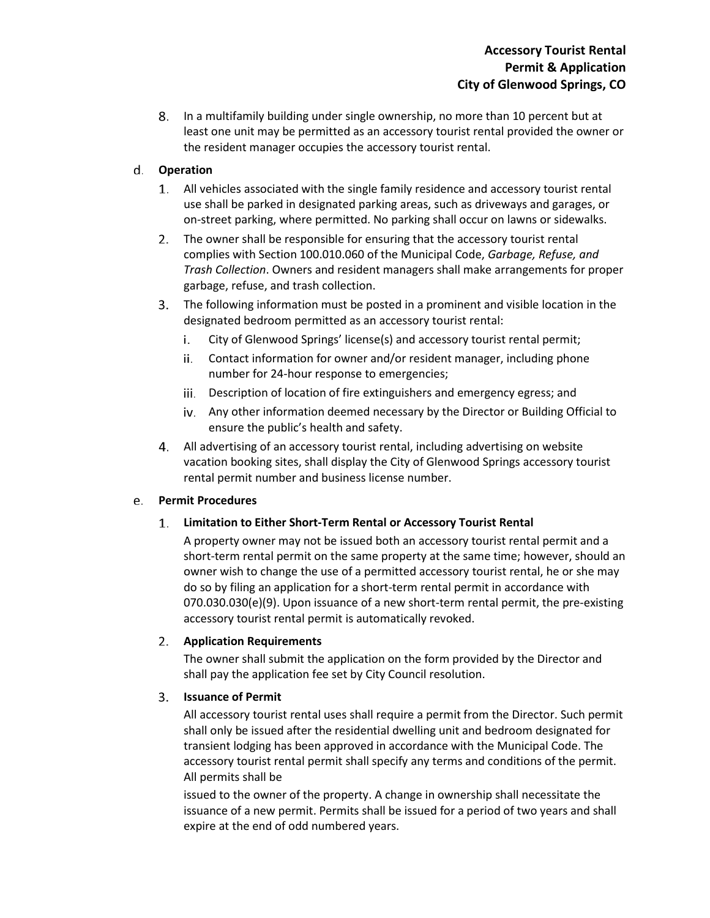In a multifamily building under single ownership, no more than 10 percent but at least one unit may be permitted as an accessory tourist rental provided the owner or the resident manager occupies the accessory tourist rental.

# **Operation**

- All vehicles associated with the single family residence and accessory tourist rental use shall be parked in designated parking areas, such as driveways and garages, or on-street parking, where permitted. No parking shall occur on lawns or sidewalks.
- 2. The owner shall be responsible for ensuring that the accessory tourist rental complies with Section 100.010.060 of the Municipal Code, *Garbage, Refuse, and Trash Collection*. Owners and resident managers shall make arrangements for proper garbage, refuse, and trash collection.
- The following information must be posted in a prominent and visible location in the designated bedroom permitted as an accessory tourist rental:
	- i. City of Glenwood Springs' license(s) and accessory tourist rental permit;
	- ii. Contact information for owner and/or resident manager, including phone number for 24-hour response to emergencies;
	- iii. Description of location of fire extinguishers and emergency egress; and
	- Any other information deemed necessary by the Director or Building Official to ensure the public's health and safety.
- All advertising of an accessory tourist rental, including advertising on website vacation booking sites, shall display the City of Glenwood Springs accessory tourist rental permit number and business license number.

#### **Permit Procedures** e.

#### **Limitation to Either Short-Term Rental or Accessory Tourist Rental** 1.

A property owner may not be issued both an accessory tourist rental permit and a short-term rental permit on the same property at the same time; however, should an owner wish to change the use of a permitted accessory tourist rental, he or she may do so by filing an application for a short-term rental permit in accordance with 070.030.030(e)(9). Upon issuance of a new short-term rental permit, the pre-existing accessory tourist rental permit is automatically revoked.

## **Application Requirements**

The owner shall submit the application on the form provided by the Director and shall pay the application fee set by City Council resolution.

#### **Issuance of Permit**  $3.$

All accessory tourist rental uses shall require a permit from the Director. Such permit shall only be issued after the residential dwelling unit and bedroom designated for transient lodging has been approved in accordance with the Municipal Code. The accessory tourist rental permit shall specify any terms and conditions of the permit. All permits shall be

issued to the owner of the property. A change in ownership shall necessitate the issuance of a new permit. Permits shall be issued for a period of two years and shall expire at the end of odd numbered years.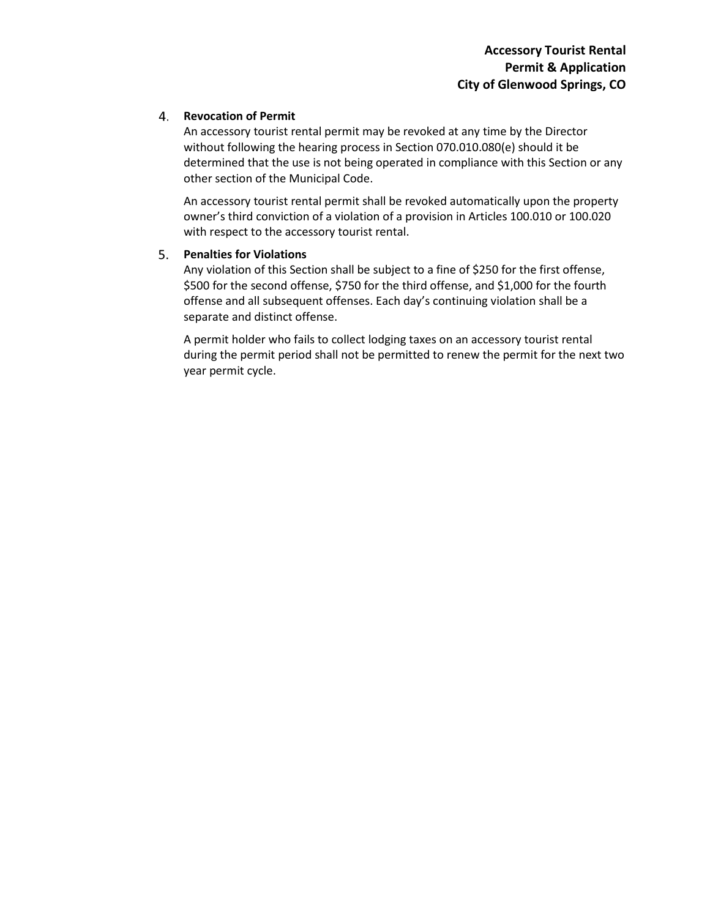### **Revocation of Permit**

An accessory tourist rental permit may be revoked at any time by the Director without following the hearing process in Section 070.010.080(e) should it be determined that the use is not being operated in compliance with this Section or any other section of the Municipal Code.

An accessory tourist rental permit shall be revoked automatically upon the property owner's third conviction of a violation of a provision in Articles 100.010 or 100.020 with respect to the accessory tourist rental.

### **Penalties for Violations**

Any violation of this Section shall be subject to a fine of \$250 for the first offense, \$500 for the second offense, \$750 for the third offense, and \$1,000 for the fourth offense and all subsequent offenses. Each day's continuing violation shall be a separate and distinct offense.

A permit holder who fails to collect lodging taxes on an accessory tourist rental during the permit period shall not be permitted to renew the permit for the next two year permit cycle.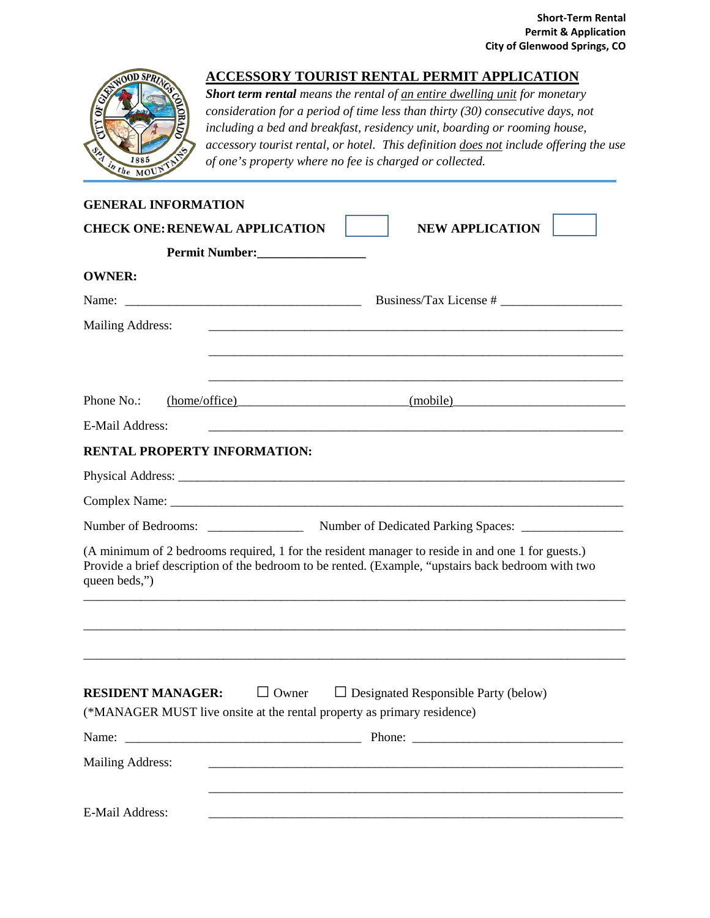

# **ACCESSORY TOURIST RENTAL PERMIT APPLICATION**

*Short term rental means the rental of an entire dwelling unit for monetary consideration for a period of time less than thirty (30) consecutive days, not including a bed and breakfast, residency unit, boarding or rooming house, accessory tourist rental, or hotel. This definition does not include offering the use of one's property where no fee is charged or collected.* 

| <b>GENERAL INFORMATION</b>                                                                                                                                                                                               |                                                                                                                        |  |  |  |  |
|--------------------------------------------------------------------------------------------------------------------------------------------------------------------------------------------------------------------------|------------------------------------------------------------------------------------------------------------------------|--|--|--|--|
| <b>CHECK ONE: RENEWAL APPLICATION</b>                                                                                                                                                                                    | <b>NEW APPLICATION</b>                                                                                                 |  |  |  |  |
|                                                                                                                                                                                                                          |                                                                                                                        |  |  |  |  |
| <b>OWNER:</b>                                                                                                                                                                                                            |                                                                                                                        |  |  |  |  |
|                                                                                                                                                                                                                          |                                                                                                                        |  |  |  |  |
| Mailing Address:                                                                                                                                                                                                         |                                                                                                                        |  |  |  |  |
|                                                                                                                                                                                                                          |                                                                                                                        |  |  |  |  |
|                                                                                                                                                                                                                          |                                                                                                                        |  |  |  |  |
| Phone No.:                                                                                                                                                                                                               | (mobile) (mobile) (mobile)                                                                                             |  |  |  |  |
| <b>E-Mail Address:</b>                                                                                                                                                                                                   | <u> 1989 - Johann John Stoff, deutscher Stoffen und der Stoffen und der Stoffen und der Stoffen und der Stoffen u</u>  |  |  |  |  |
| <b>RENTAL PROPERTY INFORMATION:</b>                                                                                                                                                                                      |                                                                                                                        |  |  |  |  |
|                                                                                                                                                                                                                          |                                                                                                                        |  |  |  |  |
|                                                                                                                                                                                                                          |                                                                                                                        |  |  |  |  |
|                                                                                                                                                                                                                          |                                                                                                                        |  |  |  |  |
| (A minimum of 2 bedrooms required, 1 for the resident manager to reside in and one 1 for guests.)<br>Provide a brief description of the bedroom to be rented. (Example, "upstairs back bedroom with two<br>queen beds,") |                                                                                                                        |  |  |  |  |
|                                                                                                                                                                                                                          |                                                                                                                        |  |  |  |  |
| $\Box$ Owner<br><b>RESIDENT MANAGER:</b>                                                                                                                                                                                 | $\Box$ Designated Responsible Party (below)<br>(*MANAGER MUST live onsite at the rental property as primary residence) |  |  |  |  |
|                                                                                                                                                                                                                          | Name: Phone: Phone: Phone: 2008.                                                                                       |  |  |  |  |
| <b>Mailing Address:</b>                                                                                                                                                                                                  |                                                                                                                        |  |  |  |  |
| E-Mail Address:                                                                                                                                                                                                          |                                                                                                                        |  |  |  |  |